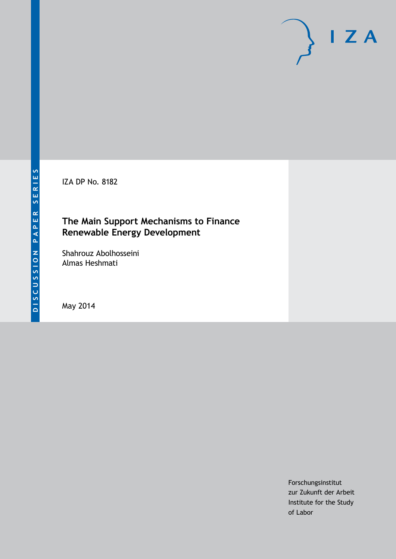IZA DP No. 8182

## **The Main Support Mechanisms to Finance Renewable Energy Development**

Shahrouz Abolhosseini Almas Heshmati

May 2014

Forschungsinstitut zur Zukunft der Arbeit Institute for the Study of Labor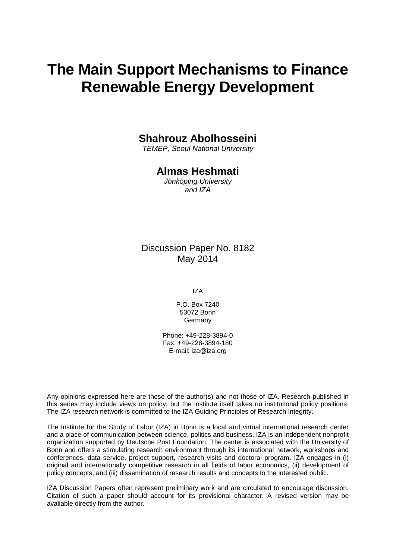# **The Main Support Mechanisms to Finance Renewable Energy Development**

### **Shahrouz Abolhosseini**

*TEMEP, Seoul National University*

### **Almas Heshmati**

*Jönköping University and IZA*

### Discussion Paper No. 8182 May 2014

IZA

P.O. Box 7240 53072 Bonn Germany

Phone: +49-228-3894-0 Fax: +49-228-3894-180 E-mail: [iza@iza.org](mailto:iza@iza.org)

Any opinions expressed here are those of the author(s) and not those of IZA. Research published in this series may include views on policy, but the institute itself takes no institutional policy positions. The IZA research network is committed to the IZA Guiding Principles of Research Integrity.

The Institute for the Study of Labor (IZA) in Bonn is a local and virtual international research center and a place of communication between science, politics and business. IZA is an independent nonprofit organization supported by Deutsche Post Foundation. The center is associated with the University of Bonn and offers a stimulating research environment through its international network, workshops and conferences, data service, project support, research visits and doctoral program. IZA engages in (i) original and internationally competitive research in all fields of labor economics, (ii) development of policy concepts, and (iii) dissemination of research results and concepts to the interested public.

IZA Discussion Papers often represent preliminary work and are circulated to encourage discussion. Citation of such a paper should account for its provisional character. A revised version may be available directly from the author.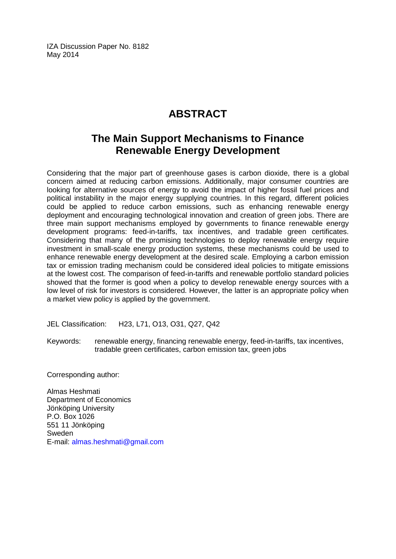IZA Discussion Paper No. 8182 May 2014

# **ABSTRACT**

# **The Main Support Mechanisms to Finance Renewable Energy Development**

Considering that the major part of greenhouse gases is carbon dioxide, there is a global concern aimed at reducing carbon emissions. Additionally, major consumer countries are looking for alternative sources of energy to avoid the impact of higher fossil fuel prices and political instability in the major energy supplying countries. In this regard, different policies could be applied to reduce carbon emissions, such as enhancing renewable energy deployment and encouraging technological innovation and creation of green jobs. There are three main support mechanisms employed by governments to finance renewable energy development programs: feed-in-tariffs, tax incentives, and tradable green certificates. Considering that many of the promising technologies to deploy renewable energy require investment in small-scale energy production systems, these mechanisms could be used to enhance renewable energy development at the desired scale. Employing a carbon emission tax or emission trading mechanism could be considered ideal policies to mitigate emissions at the lowest cost. The comparison of feed-in-tariffs and renewable portfolio standard policies showed that the former is good when a policy to develop renewable energy sources with a low level of risk for investors is considered. However, the latter is an appropriate policy when a market view policy is applied by the government.

JEL Classification: H23, L71, O13, O31, Q27, Q42

Keywords: renewable energy, financing renewable energy, feed-in-tariffs, tax incentives, tradable green certificates, carbon emission tax, green jobs

Corresponding author:

Almas Heshmati Department of Economics Jönköping University P.O. Box 1026 551 11 Jönköping Sweden E-mail: [almas.heshmati@gmail.com](mailto:almas.heshmati@gmail.com)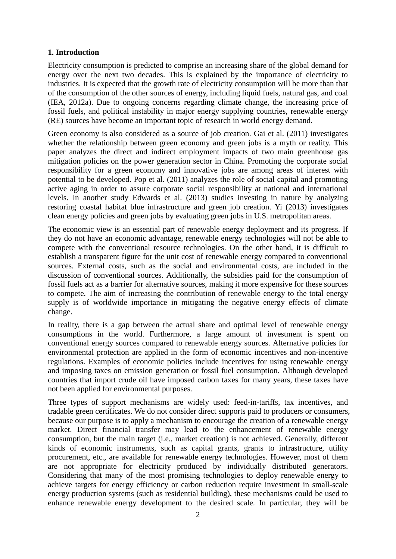#### **1. Introduction**

Electricity consumption is predicted to comprise an increasing share of the global demand for energy over the next two decades. This is explained by the importance of electricity to industries. It is expected that the growth rate of electricity consumption will be more than that of the consumption of the other sources of energy, including liquid fuels, natural gas, and coal (IEA, 2012a). Due to ongoing concerns regarding climate change, the increasing price of fossil fuels, and political instability in major energy supplying countries, renewable energy (RE) sources have become an important topic of research in world energy demand.

Green economy is also considered as a source of job creation. Gai et al. (2011) investigates whether the relationship between green economy and green jobs is a myth or reality. This paper analyzes the direct and indirect employment impacts of two main greenhouse gas mitigation policies on the power generation sector in China. Promoting the corporate social responsibility for a green economy and innovative jobs are among areas of interest with potential to be developed. Pop et al. (2011) analyzes the role of social capital and promoting active aging in order to assure corporate social responsibility at national and international levels. In another study Edwards et al. (2013) studies investing in nature by analyzing restoring coastal habitat blue infrastructure and green job creation. Yi (2013) investigates clean energy policies and green jobs by evaluating green jobs in U.S. metropolitan areas.

The economic view is an essential part of renewable energy deployment and its progress. If they do not have an economic advantage, renewable energy technologies will not be able to compete with the conventional resource technologies. On the other hand, it is difficult to establish a transparent figure for the unit cost of renewable energy compared to conventional sources. External costs, such as the social and environmental costs, are included in the discussion of conventional sources. Additionally, the subsidies paid for the consumption of fossil fuels act as a barrier for alternative sources, making it more expensive for these sources to compete. The aim of increasing the contribution of renewable energy to the total energy supply is of worldwide importance in mitigating the negative energy effects of climate change.

In reality, there is a gap between the actual share and optimal level of renewable energy consumptions in the world. Furthermore, a large amount of investment is spent on conventional energy sources compared to renewable energy sources. Alternative policies for environmental protection are applied in the form of economic incentives and non-incentive regulations. Examples of economic policies include incentives for using renewable energy and imposing taxes on emission generation or fossil fuel consumption. Although developed countries that import crude oil have imposed carbon taxes for many years, these taxes have not been applied for environmental purposes.

Three types of support mechanisms are widely used: feed-in-tariffs, tax incentives, and tradable green certificates. We do not consider direct supports paid to producers or consumers, because our purpose is to apply a mechanism to encourage the creation of a renewable energy market. Direct financial transfer may lead to the enhancement of renewable energy consumption, but the main target (i.e., market creation) is not achieved. Generally, different kinds of economic instruments, such as capital grants, grants to infrastructure, utility procurement, etc., are available for renewable energy technologies. However, most of them are not appropriate for electricity produced by individually distributed generators. Considering that many of the most promising technologies to deploy renewable energy to achieve targets for energy efficiency or carbon reduction require investment in small-scale energy production systems (such as residential building), these mechanisms could be used to enhance renewable energy development to the desired scale. In particular, they will be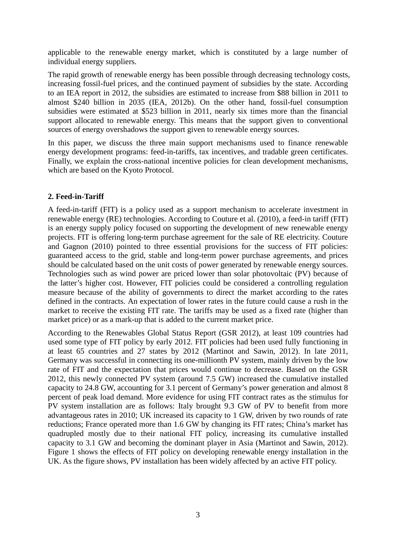applicable to the renewable energy market, which is constituted by a large number of individual energy suppliers.

The rapid growth of renewable energy has been possible through decreasing technology costs, increasing fossil-fuel prices, and the continued payment of subsidies by the state. According to an IEA report in 2012, the subsidies are estimated to increase from \$88 billion in 2011 to almost \$240 billion in 2035 (IEA, 2012b). On the other hand, fossil-fuel consumption subsidies were estimated at \$523 billion in 2011, nearly six times more than the financial support allocated to renewable energy. This means that the support given to conventional sources of energy overshadows the support given to renewable energy sources.

In this paper, we discuss the three main support mechanisms used to finance renewable energy development programs: feed-in-tariffs, tax incentives, and tradable green certificates. Finally, we explain the cross-national incentive policies for clean development mechanisms, which are based on the Kyoto Protocol.

#### **2. Feed-in-Tariff**

A feed-in-tariff (FIT) is a policy used as a support mechanism to accelerate investment in renewable energy (RE) technologies. According to Couture et al. (2010), a feed-in tariff (FIT) is an energy supply policy focused on supporting the development of new renewable energy projects. FIT is offering long-term purchase agreement for the sale of RE electricity. Couture and Gagnon (2010) pointed to three essential provisions for the success of FIT policies: guaranteed access to the grid, stable and long-term power purchase agreements, and prices should be calculated based on the unit costs of power generated by renewable energy sources. Technologies such as wind power are priced lower than solar photovoltaic (PV) because of the latter's higher cost. However, FIT policies could be considered a controlling regulation measure because of the ability of governments to direct the market according to the rates defined in the contracts. An expectation of lower rates in the future could cause a rush in the market to receive the existing FIT rate. The tariffs may be used as a fixed rate (higher than market price) or as a mark-up that is added to the current market price.

According to the Renewables Global Status Report (GSR 2012), at least 109 countries had used some type of FIT policy by early 2012. FIT policies had been used fully functioning in at least 65 countries and 27 states by 2012 (Martinot and Sawin, 2012). In late 2011, Germany was successful in connecting its one-millionth PV system, mainly driven by the low rate of FIT and the expectation that prices would continue to decrease. Based on the GSR 2012, this newly connected PV system (around 7.5 GW) increased the cumulative installed capacity to 24.8 GW, accounting for 3.1 percent of Germany's power generation and almost 8 percent of peak load demand. More evidence for using FIT contract rates as the stimulus for PV system installation are as follows: Italy brought 9.3 GW of PV to benefit from more advantageous rates in 2010; UK increased its capacity to 1 GW, driven by two rounds of rate reductions; France operated more than 1.6 GW by changing its FIT rates; China's market has quadrupled mostly due to their national FIT policy, increasing its cumulative installed capacity to 3.1 GW and becoming the dominant player in Asia (Martinot and Sawin, 2012). Figure 1 shows the effects of FIT policy on developing renewable energy installation in the UK. As the figure shows, PV installation has been widely affected by an active FIT policy.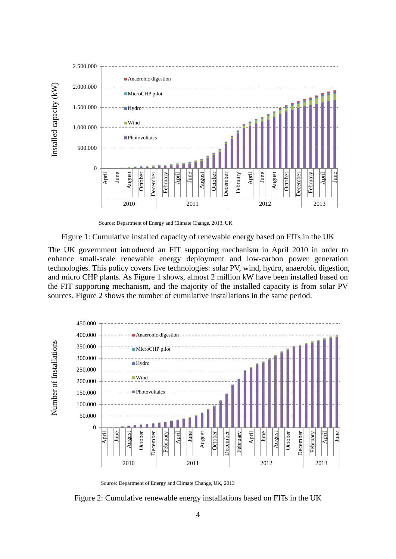

Source: Department of Energy and Climate Change, 2013, UK



The UK government introduced an FIT supporting mechanism in April 2010 in order to enhance small-scale renewable energy deployment and low-carbon power generation technologies. This policy covers five technologies: solar PV, wind, hydro, anaerobic digestion, and micro CHP plants. As Figure 1 shows, almost 2 million kW have been installed based on the FIT supporting mechanism, and the majority of the installed capacity is from solar PV sources. Figure 2 shows the number of cumulative installations in the same period.



Source: Department of Energy and Climate Change, UK, 2013

Figure 2: Cumulative renewable energy installations based on FITs in the UK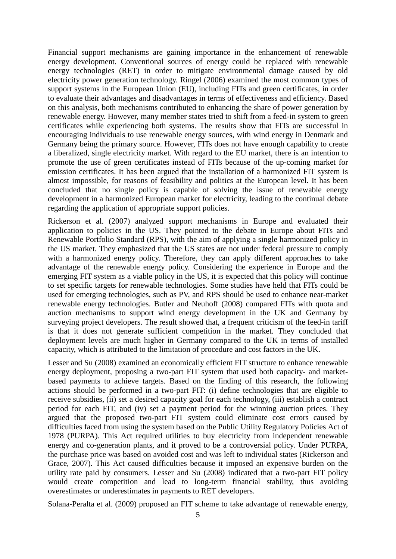Financial support mechanisms are gaining importance in the enhancement of renewable energy development. Conventional sources of energy could be replaced with renewable energy technologies (RET) in order to mitigate environmental damage caused by old electricity power generation technology. Ringel (2006) examined the most common types of support systems in the European Union (EU), including FITs and green certificates, in order to evaluate their advantages and disadvantages in terms of effectiveness and efficiency. Based on this analysis, both mechanisms contributed to enhancing the share of power generation by renewable energy. However, many member states tried to shift from a feed-in system to green certificates while experiencing both systems. The results show that FITs are successful in encouraging individuals to use renewable energy sources, with wind energy in Denmark and Germany being the primary source. However, FITs does not have enough capability to create a liberalized, single electricity market. With regard to the EU market, there is an intention to promote the use of green certificates instead of FITs because of the up-coming market for emission certificates. It has been argued that the installation of a harmonized FIT system is almost impossible, for reasons of feasibility and politics at the European level. It has been concluded that no single policy is capable of solving the issue of renewable energy development in a harmonized European market for electricity, leading to the continual debate regarding the application of appropriate support policies.

Rickerson et al. (2007) analyzed support mechanisms in Europe and evaluated their application to policies in the US. They pointed to the debate in Europe about FITs and Renewable Portfolio Standard (RPS), with the aim of applying a single harmonized policy in the US market. They emphasized that the US states are not under federal pressure to comply with a harmonized energy policy. Therefore, they can apply different approaches to take advantage of the renewable energy policy. Considering the experience in Europe and the emerging FIT system as a viable policy in the US, it is expected that this policy will continue to set specific targets for renewable technologies. Some studies have held that FITs could be used for emerging technologies, such as PV, and RPS should be used to enhance near-market renewable energy technologies. Butler and Neuhoff (2008) compared FITs with quota and auction mechanisms to support wind energy development in the UK and Germany by surveying project developers. The result showed that, a frequent criticism of the feed-in tariff is that it does not generate sufficient competition in the market. They concluded that deployment levels are much higher in Germany compared to the UK in terms of installed capacity, which is attributed to the limitation of procedure and cost factors in the UK.

Lesser and Su (2008) examined an economically efficient FIT structure to enhance renewable energy deployment, proposing a two-part FIT system that used both capacity- and marketbased payments to achieve targets. Based on the finding of this research, the following actions should be performed in a two-part FIT: (i) define technologies that are eligible to receive subsidies, (ii) set a desired capacity goal for each technology, (iii) establish a contract period for each FIT, and (iv) set a payment period for the winning auction prices. They argued that the proposed two-part FIT system could eliminate cost errors caused by difficulties faced from using the system based on the Public Utility Regulatory Policies Act of 1978 (PURPA). This Act required utilities to buy electricity from independent renewable energy and co-generation plants, and it proved to be a controversial policy. Under PURPA, the purchase price was based on avoided cost and was left to individual states (Rickerson and Grace, 2007). This Act caused difficulties because it imposed an expensive burden on the utility rate paid by consumers. Lesser and Su (2008) indicated that a two-part FIT policy would create competition and lead to long-term financial stability, thus avoiding overestimates or underestimates in payments to RET developers.

Solana-Peralta et al. (2009) proposed an FIT scheme to take advantage of renewable energy,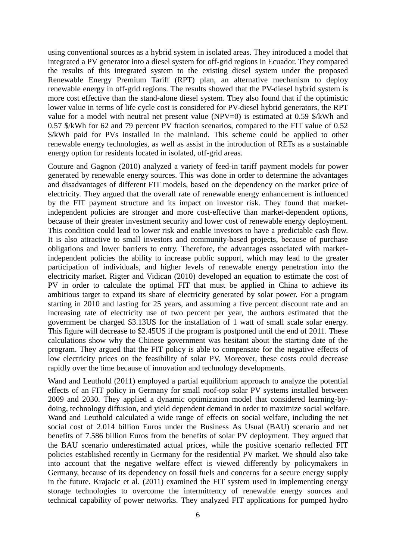using conventional sources as a hybrid system in isolated areas. They introduced a model that integrated a PV generator into a diesel system for off-grid regions in Ecuador. They compared the results of this integrated system to the existing diesel system under the proposed Renewable Energy Premium Tariff (RPT) plan, an alternative mechanism to deploy renewable energy in off-grid regions. The results showed that the PV-diesel hybrid system is more cost effective than the stand-alone diesel system. They also found that if the optimistic lower value in terms of life cycle cost is considered for PV-diesel hybrid generators, the RPT value for a model with neutral net present value (NPV=0) is estimated at 0.59 \$/kWh and 0.57 \$/kWh for 62 and 79 percent PV fraction scenarios, compared to the FIT value of 0.52 \$/kWh paid for PVs installed in the mainland. This scheme could be applied to other renewable energy technologies, as well as assist in the introduction of RETs as a sustainable energy option for residents located in isolated, off-grid areas.

Couture and Gagnon (2010) analyzed a variety of feed-in tariff payment models for power generated by renewable energy sources. This was done in order to determine the advantages and disadvantages of different FIT models, based on the dependency on the market price of electricity. They argued that the overall rate of renewable energy enhancement is influenced by the FIT payment structure and its impact on investor risk. They found that marketindependent policies are stronger and more cost-effective than market-dependent options, because of their greater investment security and lower cost of renewable energy deployment. This condition could lead to lower risk and enable investors to have a predictable cash flow. It is also attractive to small investors and community-based projects, because of purchase obligations and lower barriers to entry. Therefore, the advantages associated with marketindependent policies the ability to increase public support, which may lead to the greater participation of individuals, and higher levels of renewable energy penetration into the electricity market. Rigter and Vidican (2010) developed an equation to estimate the cost of PV in order to calculate the optimal FIT that must be applied in China to achieve its ambitious target to expand its share of electricity generated by solar power. For a program starting in 2010 and lasting for 25 years, and assuming a five percent discount rate and an increasing rate of electricity use of two percent per year, the authors estimated that the government be charged \$3.13US for the installation of 1 watt of small scale solar energy. This figure will decrease to \$2.45US if the program is postponed until the end of 2011. These calculations show why the Chinese government was hesitant about the starting date of the program. They argued that the FIT policy is able to compensate for the negative effects of low electricity prices on the feasibility of solar PV. Moreover, these costs could decrease rapidly over the time because of innovation and technology developments.

Wand and Leuthold (2011) employed a partial equilibrium approach to analyze the potential effects of an FIT policy in Germany for small roof-top solar PV systems installed between 2009 and 2030. They applied a dynamic optimization model that considered learning-bydoing, technology diffusion, and yield dependent demand in order to maximize social welfare. Wand and Leuthold calculated a wide range of effects on social welfare, including the net social cost of 2.014 billion Euros under the Business As Usual (BAU) scenario and net benefits of 7.586 billion Euros from the benefits of solar PV deployment. They argued that the BAU scenario underestimated actual prices, while the positive scenario reflected FIT policies established recently in Germany for the residential PV market. We should also take into account that the negative welfare effect is viewed differently by policymakers in Germany, because of its dependency on fossil fuels and concerns for a secure energy supply in the future. Krajacic et al. (2011) examined the FIT system used in implementing energy storage technologies to overcome the intermittency of renewable energy sources and technical capability of power networks. They analyzed FIT applications for pumped hydro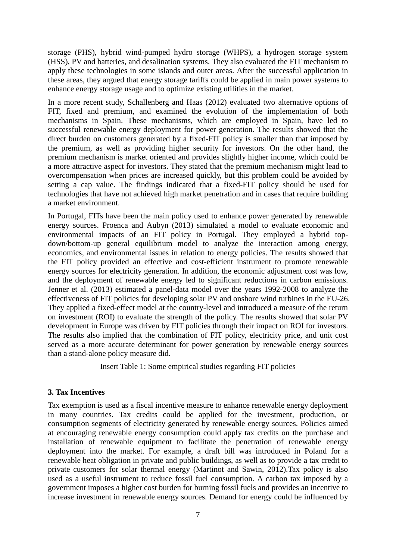storage (PHS), hybrid wind-pumped hydro storage (WHPS), a hydrogen storage system (HSS), PV and batteries, and desalination systems. They also evaluated the FIT mechanism to apply these technologies in some islands and outer areas. After the successful application in these areas, they argued that energy storage tariffs could be applied in main power systems to enhance energy storage usage and to optimize existing utilities in the market.

In a more recent study, Schallenberg and Haas (2012) evaluated two alternative options of FIT, fixed and premium, and examined the evolution of the implementation of both mechanisms in Spain. These mechanisms, which are employed in Spain, have led to successful renewable energy deployment for power generation. The results showed that the direct burden on customers generated by a fixed-FIT policy is smaller than that imposed by the premium, as well as providing higher security for investors. On the other hand, the premium mechanism is market oriented and provides slightly higher income, which could be a more attractive aspect for investors. They stated that the premium mechanism might lead to overcompensation when prices are increased quickly, but this problem could be avoided by setting a cap value. The findings indicated that a fixed-FIT policy should be used for technologies that have not achieved high market penetration and in cases that require building a market environment.

In Portugal, FITs have been the main policy used to enhance power generated by renewable energy sources. Proenca and Aubyn (2013) simulated a model to evaluate economic and environmental impacts of an FIT policy in Portugal. They employed a hybrid topdown/bottom-up general equilibrium model to analyze the interaction among energy, economics, and environmental issues in relation to energy policies. The results showed that the FIT policy provided an effective and cost-efficient instrument to promote renewable energy sources for electricity generation. In addition, the economic adjustment cost was low, and the deployment of renewable energy led to significant reductions in carbon emissions. Jenner et al. (2013) estimated a panel-data model over the years 1992-2008 to analyze the effectiveness of FIT policies for developing solar PV and onshore wind turbines in the EU-26. They applied a fixed-effect model at the country-level and introduced a measure of the return on investment (ROI) to evaluate the strength of the policy. The results showed that solar PV development in Europe was driven by FIT policies through their impact on ROI for investors. The results also implied that the combination of FIT policy, electricity price, and unit cost served as a more accurate determinant for power generation by renewable energy sources than a stand-alone policy measure did.

Insert Table 1: Some empirical studies regarding FIT policies

#### **3. Tax Incentives**

Tax exemption is used as a fiscal incentive measure to enhance renewable energy deployment in many countries. Tax credits could be applied for the investment, production, or consumption segments of electricity generated by renewable energy sources. Policies aimed at encouraging renewable energy consumption could apply tax credits on the purchase and installation of renewable equipment to facilitate the penetration of renewable energy deployment into the market. For example, a draft bill was introduced in Poland for a renewable heat obligation in private and public buildings, as well as to provide a tax credit to private customers for solar thermal energy (Martinot and Sawin, 2012).Tax policy is also used as a useful instrument to reduce fossil fuel consumption. A carbon tax imposed by a government imposes a higher cost burden for burning fossil fuels and provides an incentive to increase investment in renewable energy sources. Demand for energy could be influenced by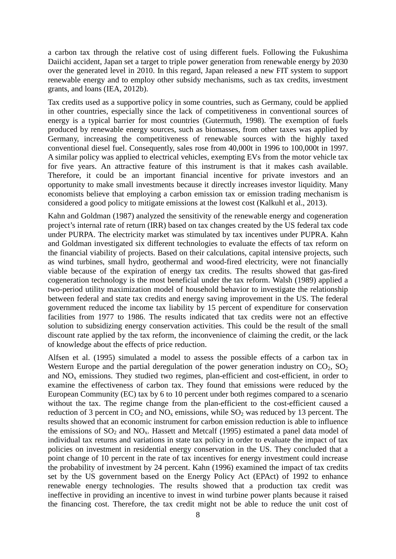a carbon tax through the relative cost of using different fuels. Following the Fukushima Daiichi accident, Japan set a target to triple power generation from renewable energy by 2030 over the generated level in 2010. In this regard, Japan released a new FIT system to support renewable energy and to employ other subsidy mechanisms, such as tax credits, investment grants, and loans (IEA, 2012b).

Tax credits used as a supportive policy in some countries, such as Germany, could be applied in other countries, especially since the lack of competitiveness in conventional sources of energy is a typical barrier for most countries (Gutermuth, 1998). The exemption of fuels produced by renewable energy sources, such as biomasses, from other taxes was applied by Germany, increasing the competitiveness of renewable sources with the highly taxed conventional diesel fuel. Consequently, sales rose from 40,000t in 1996 to 100,000t in 1997. A similar policy was applied to electrical vehicles, exempting EVs from the motor vehicle tax for five years. An attractive feature of this instrument is that it makes cash available. Therefore, it could be an important financial incentive for private investors and an opportunity to make small investments because it directly increases investor liquidity. Many economists believe that employing a carbon emission tax or emission trading mechanism is considered a good policy to mitigate emissions at the lowest cost (Kalkuhl et al., 2013).

Kahn and Goldman (1987) analyzed the sensitivity of the renewable energy and cogeneration project's internal rate of return (IRR) based on tax changes created by the US federal tax code under PURPA. The electricity market was stimulated by tax incentives under PUPRA. Kahn and Goldman investigated six different technologies to evaluate the effects of tax reform on the financial viability of projects. Based on their calculations, capital intensive projects, such as wind turbines, small hydro, geothermal and wood-fired electricity, were not financially viable because of the expiration of energy tax credits. The results showed that gas-fired cogeneration technology is the most beneficial under the tax reform. Walsh (1989) applied a two-period utility maximization model of household behavior to investigate the relationship between federal and state tax credits and energy saving improvement in the US. The federal government reduced the income tax liability by 15 percent of expenditure for conservation facilities from 1977 to 1986. The results indicated that tax credits were not an effective solution to subsidizing energy conservation activities. This could be the result of the small discount rate applied by the tax reform, the inconvenience of claiming the credit, or the lack of knowledge about the effects of price reduction.

Alfsen et al. (1995) simulated a model to assess the possible effects of a carbon tax in Western Europe and the partial deregulation of the power generation industry on  $CO<sub>2</sub>$ ,  $SO<sub>2</sub>$ and  $NO<sub>x</sub>$  emissions. They studied two regimes, plan-efficient and cost-efficient, in order to examine the effectiveness of carbon tax. They found that emissions were reduced by the European Community (EC) tax by 6 to 10 percent under both regimes compared to a scenario without the tax. The regime change from the plan-efficient to the cost-efficient caused a reduction of 3 percent in  $CO_2$  and  $NO_x$  emissions, while  $SO_2$  was reduced by 13 percent. The results showed that an economic instrument for carbon emission reduction is able to influence the emissions of  $SO_2$  and  $NO_x$ . Hassett and Metcalf (1995) estimated a panel data model of individual tax returns and variations in state tax policy in order to evaluate the impact of tax policies on investment in residential energy conservation in the US. They concluded that a point change of 10 percent in the rate of tax incentives for energy investment could increase the probability of investment by 24 percent. Kahn (1996) examined the impact of tax credits set by the US government based on the Energy Policy Act (EPAct) of 1992 to enhance renewable energy technologies. The results showed that a production tax credit was ineffective in providing an incentive to invest in wind turbine power plants because it raised the financing cost. Therefore, the tax credit might not be able to reduce the unit cost of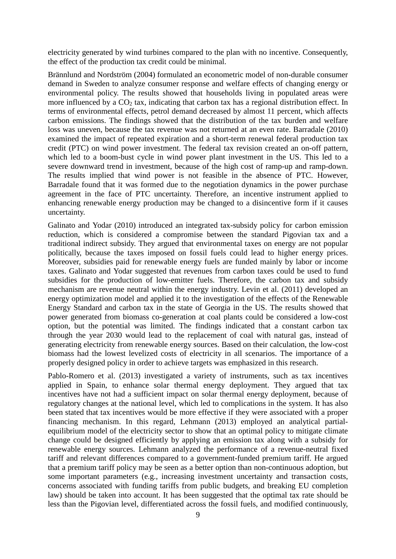electricity generated by wind turbines compared to the plan with no incentive. Consequently, the effect of the production tax credit could be minimal.

Brännlund and Nordström (2004) formulated an econometric model of non-durable consumer demand in Sweden to analyze consumer response and welfare effects of changing energy or environmental policy. The results showed that households living in populated areas were more influenced by a  $CO<sub>2</sub>$  tax, indicating that carbon tax has a regional distribution effect. In terms of environmental effects, petrol demand decreased by almost 11 percent, which affects carbon emissions. The findings showed that the distribution of the tax burden and welfare loss was uneven, because the tax revenue was not returned at an even rate. Barradale (2010) examined the impact of repeated expiration and a short-term renewal federal production tax credit (PTC) on wind power investment. The federal tax revision created an on-off pattern, which led to a boom-bust cycle in wind power plant investment in the US. This led to a severe downward trend in investment, because of the high cost of ramp-up and ramp-down. The results implied that wind power is not feasible in the absence of PTC. However, Barradale found that it was formed due to the negotiation dynamics in the power purchase agreement in the face of PTC uncertainty. Therefore, an incentive instrument applied to enhancing renewable energy production may be changed to a disincentive form if it causes uncertainty.

Galinato and Yodar (2010) introduced an integrated tax-subsidy policy for carbon emission reduction, which is considered a compromise between the standard Pigovian tax and a traditional indirect subsidy. They argued that environmental taxes on energy are not popular politically, because the taxes imposed on fossil fuels could lead to higher energy prices. Moreover, subsidies paid for renewable energy fuels are funded mainly by labor or income taxes. Galinato and Yodar suggested that revenues from carbon taxes could be used to fund subsidies for the production of low-emitter fuels. Therefore, the carbon tax and subsidy mechanism are revenue neutral within the energy industry. Levin et al. (2011) developed an energy optimization model and applied it to the investigation of the effects of the Renewable Energy Standard and carbon tax in the state of Georgia in the US. The results showed that power generated from biomass co-generation at coal plants could be considered a low-cost option, but the potential was limited. The findings indicated that a constant carbon tax through the year 2030 would lead to the replacement of coal with natural gas, instead of generating electricity from renewable energy sources. Based on their calculation, the low-cost biomass had the lowest levelized costs of electricity in all scenarios. The importance of a properly designed policy in order to achieve targets was emphasized in this research.

Pablo-Romero et al. (2013) investigated a variety of instruments, such as tax incentives applied in Spain, to enhance solar thermal energy deployment. They argued that tax incentives have not had a sufficient impact on solar thermal energy deployment, because of regulatory changes at the national level, which led to complications in the system. It has also been stated that tax incentives would be more effective if they were associated with a proper financing mechanism. In this regard, Lehmann (2013) employed an analytical partialequilibrium model of the electricity sector to show that an optimal policy to mitigate climate change could be designed efficiently by applying an emission tax along with a subsidy for renewable energy sources. Lehmann analyzed the performance of a revenue-neutral fixed tariff and relevant differences compared to a government-funded premium tariff. He argued that a premium tariff policy may be seen as a better option than non-continuous adoption, but some important parameters (e.g., increasing investment uncertainty and transaction costs, concerns associated with funding tariffs from public budgets, and breaking EU completion law) should be taken into account. It has been suggested that the optimal tax rate should be less than the Pigovian level, differentiated across the fossil fuels, and modified continuously,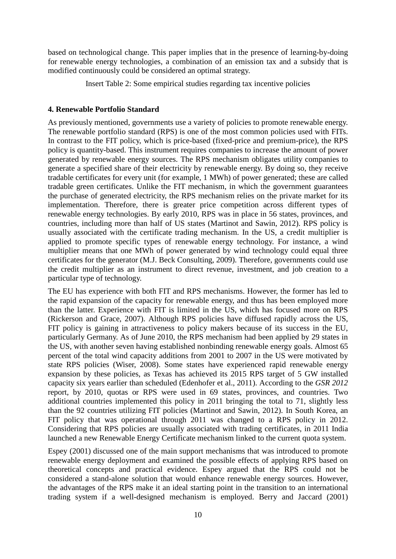based on technological change. This paper implies that in the presence of learning-by-doing for renewable energy technologies, a combination of an emission tax and a subsidy that is modified continuously could be considered an optimal strategy.

Insert Table 2: Some empirical studies regarding tax incentive policies

#### **4. Renewable Portfolio Standard**

As previously mentioned, governments use a variety of policies to promote renewable energy. The renewable portfolio standard (RPS) is one of the most common policies used with FITs. In contrast to the FIT policy, which is price-based (fixed-price and premium-price), the RPS policy is quantity-based. This instrument requires companies to increase the amount of power generated by renewable energy sources. The RPS mechanism obligates utility companies to generate a specified share of their electricity by renewable energy. By doing so, they receive tradable certificates for every unit (for example, 1 MWh) of power generated; these are called tradable green certificates. Unlike the FIT mechanism, in which the government guarantees the purchase of generated electricity, the RPS mechanism relies on the private market for its implementation. Therefore, there is greater price competition across different types of renewable energy technologies. By early 2010, RPS was in place in 56 states, provinces, and countries, including more than half of US states (Martinot and Sawin, 2012). RPS policy is usually associated with the certificate trading mechanism. In the US, a credit multiplier is applied to promote specific types of renewable energy technology. For instance, a wind multiplier means that one MWh of power generated by wind technology could equal three certificates for the generator (M.J. Beck Consulting, 2009). Therefore, governments could use the credit multiplier as an instrument to direct revenue, investment, and job creation to a particular type of technology.

The EU has experience with both FIT and RPS mechanisms. However, the former has led to the rapid expansion of the capacity for renewable energy, and thus has been employed more than the latter. Experience with FIT is limited in the US, which has focused more on RPS (Rickerson and Grace, 2007). Although RPS policies have diffused rapidly across the US, FIT policy is gaining in attractiveness to policy makers because of its success in the EU, particularly Germany. As of June 2010, the RPS mechanism had been applied by 29 states in the US, with another seven having established nonbinding renewable energy goals. Almost 65 percent of the total wind capacity additions from 2001 to 2007 in the US were motivated by state RPS policies (Wiser, 2008). Some states have experienced rapid renewable energy expansion by these policies, as Texas has achieved its 2015 RPS target of 5 GW installed capacity six years earlier than scheduled (Edenhofer et al., 2011). According to the *GSR 2012*  report, by 2010, quotas or RPS were used in 69 states, provinces, and countries. Two additional countries implemented this policy in 2011 bringing the total to 71, slightly less than the 92 countries utilizing FIT policies (Martinot and Sawin, 2012). In South Korea, an FIT policy that was operational through 2011 was changed to a RPS policy in 2012. Considering that RPS policies are usually associated with trading certificates, in 2011 India launched a new Renewable Energy Certificate mechanism linked to the current quota system.

Espey (2001) discussed one of the main support mechanisms that was introduced to promote renewable energy deployment and examined the possible effects of applying RPS based on theoretical concepts and practical evidence. Espey argued that the RPS could not be considered a stand-alone solution that would enhance renewable energy sources. However, the advantages of the RPS make it an ideal starting point in the transition to an international trading system if a well-designed mechanism is employed. Berry and Jaccard (2001)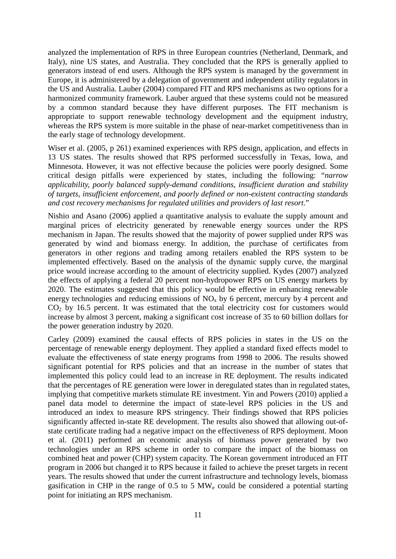analyzed the implementation of RPS in three European countries (Netherland, Denmark, and Italy), nine US states, and Australia. They concluded that the RPS is generally applied to generators instead of end users. Although the RPS system is managed by the government in Europe, it is administered by a delegation of government and independent utility regulators in the US and Australia. Lauber (2004) compared FIT and RPS mechanisms as two options for a harmonized community framework. Lauber argued that these systems could not be measured by a common standard because they have different purposes. The FIT mechanism is appropriate to support renewable technology development and the equipment industry, whereas the RPS system is more suitable in the phase of near-market competitiveness than in the early stage of technology development.

Wiser et al. (2005, p 261) examined experiences with RPS design, application, and effects in 13 US states. The results showed that RPS performed successfully in Texas, Iowa, and Minnesota. However, it was not effective because the policies were poorly designed. Some critical design pitfalls were experienced by states, including the following: "*narrow applicability, poorly balanced supply-demand conditions, insufficient duration and stability of targets, insufficient enforcement, and poorly defined or non-existent contracting standards and cost recovery mechanisms for regulated utilities and providers of last resort*."

Nishio and Asano (2006) applied a quantitative analysis to evaluate the supply amount and marginal prices of electricity generated by renewable energy sources under the RPS mechanism in Japan. The results showed that the majority of power supplied under RPS was generated by wind and biomass energy. In addition, the purchase of certificates from generators in other regions and trading among retailers enabled the RPS system to be implemented effectively. Based on the analysis of the dynamic supply curve, the marginal price would increase according to the amount of electricity supplied. Kydes (2007) analyzed the effects of applying a federal 20 percent non-hydropower RPS on US energy markets by 2020. The estimates suggested that this policy would be effective in enhancing renewable energy technologies and reducing emissions of  $NO<sub>x</sub>$  by 6 percent, mercury by 4 percent and  $CO<sub>2</sub>$  by 16.5 percent. It was estimated that the total electricity cost for customers would increase by almost 3 percent, making a significant cost increase of 35 to 60 billion dollars for the power generation industry by 2020.

Carley (2009) examined the causal effects of RPS policies in states in the US on the percentage of renewable energy deployment. They applied a standard fixed effects model to evaluate the effectiveness of state energy programs from 1998 to 2006. The results showed significant potential for RPS policies and that an increase in the number of states that implemented this policy could lead to an increase in RE deployment. The results indicated that the percentages of RE generation were lower in deregulated states than in regulated states, implying that competitive markets stimulate RE investment. Yin and Powers (2010) applied a panel data model to determine the impact of state-level RPS policies in the US and introduced an index to measure RPS stringency. Their findings showed that RPS policies significantly affected in-state RE development. The results also showed that allowing out-ofstate certificate trading had a negative impact on the effectiveness of RPS deployment. Moon et al. (2011) performed an economic analysis of biomass power generated by two technologies under an RPS scheme in order to compare the impact of the biomass on combined heat and power (CHP) system capacity. The Korean government introduced an FIT program in 2006 but changed it to RPS because it failed to achieve the preset targets in recent years. The results showed that under the current infrastructure and technology levels, biomass gasification in CHP in the range of  $0.5$  to 5 MW<sub>e</sub> could be considered a potential starting point for initiating an RPS mechanism.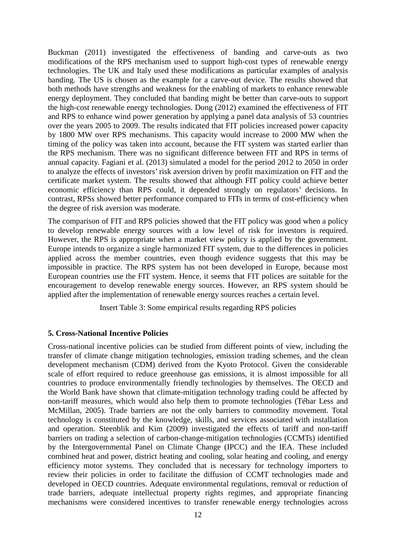Buckman (2011) investigated the effectiveness of banding and carve-outs as two modifications of the RPS mechanism used to support high-cost types of renewable energy technologies. The UK and Italy used these modifications as particular examples of analysis banding. The US is chosen as the example for a carve-out device. The results showed that both methods have strengths and weakness for the enabling of markets to enhance renewable energy deployment. They concluded that banding might be better than carve-outs to support the high-cost renewable energy technologies. Dong (2012) examined the effectiveness of FIT and RPS to enhance wind power generation by applying a panel data analysis of 53 countries over the years 2005 to 2009. The results indicated that FIT policies increased power capacity by 1800 MW over RPS mechanisms. This capacity would increase to 2000 MW when the timing of the policy was taken into account, because the FIT system was started earlier than the RPS mechanism. There was no significant difference between FIT and RPS in terms of annual capacity. Fagiani et al. (2013) simulated a model for the period 2012 to 2050 in order to analyze the effects of investors' risk aversion driven by profit maximization on FIT and the certificate market system. The results showed that although FIT policy could achieve better economic efficiency than RPS could, it depended strongly on regulators' decisions. In contrast, RPSs showed better performance compared to FITs in terms of cost-efficiency when the degree of risk aversion was moderate.

The comparison of FIT and RPS policies showed that the FIT policy was good when a policy to develop renewable energy sources with a low level of risk for investors is required. However, the RPS is appropriate when a market view policy is applied by the government. Europe intends to organize a single harmonized FIT system, due to the differences in policies applied across the member countries, even though evidence suggests that this may be impossible in practice. The RPS system has not been developed in Europe, because most European countries use the FIT system. Hence, it seems that FIT polices are suitable for the encouragement to develop renewable energy sources. However, an RPS system should be applied after the implementation of renewable energy sources reaches a certain level.

Insert Table 3: Some empirical results regarding RPS policies

#### **5. Cross-National Incentive Policies**

Cross-national incentive policies can be studied from different points of view, including the transfer of climate change mitigation technologies, emission trading schemes, and the clean development mechanism (CDM) derived from the Kyoto Protocol. Given the considerable scale of effort required to reduce greenhouse gas emissions, it is almost impossible for all countries to produce environmentally friendly technologies by themselves. The OECD and the World Bank have shown that climate-mitigation technology trading could be affected by non-tariff measures, which would also help them to promote technologies (Tébar Less and McMillan, 2005). Trade barriers are not the only barriers to commodity movement. Total technology is constituted by the knowledge, skills, and services associated with installation and operation. Steenblik and Kim (2009) investigated the effects of tariff and non-tariff barriers on trading a selection of carbon-change-mitigation technologies (CCMTs) identified by the Intergovernmental Panel on Climate Change (IPCC) and the IEA. These included combined heat and power, district heating and cooling, solar heating and cooling, and energy efficiency motor systems. They concluded that is necessary for technology importers to review their policies in order to facilitate the diffusion of CCMT technologies made and developed in OECD countries. Adequate environmental regulations, removal or reduction of trade barriers, adequate intellectual property rights regimes, and appropriate financing mechanisms were considered incentives to transfer renewable energy technologies across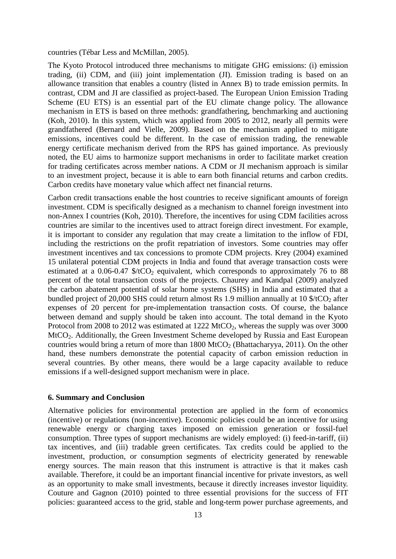countries (Tébar Less and McMillan, 2005).

The Kyoto Protocol introduced three mechanisms to mitigate GHG emissions: (i) emission trading, (ii) CDM, and (iii) joint implementation (JI). Emission trading is based on an allowance transition that enables a country (listed in Annex B) to trade emission permits. In contrast, CDM and JI are classified as project-based. The European Union Emission Trading Scheme (EU ETS) is an essential part of the EU climate change policy. The allowance mechanism in ETS is based on three methods: grandfathering, benchmarking and auctioning (Koh, 2010). In this system, which was applied from 2005 to 2012, nearly all permits were grandfathered (Bernard and Vielle, 2009). Based on the mechanism applied to mitigate emissions, incentives could be different. In the case of emission trading, the renewable energy certificate mechanism derived from the RPS has gained importance. As previously noted, the EU aims to harmonize support mechanisms in order to facilitate market creation for trading certificates across member nations. A CDM or JI mechanism approach is similar to an investment project, because it is able to earn both financial returns and carbon credits. Carbon credits have monetary value which affect net financial returns.

Carbon credit transactions enable the host countries to receive significant amounts of foreign investment. CDM is specifically designed as a mechanism to channel foreign investment into non-Annex I countries (Koh, 2010). Therefore, the incentives for using CDM facilities across countries are similar to the incentives used to attract foreign direct investment. For example, it is important to consider any regulation that may create a limitation to the inflow of FDI, including the restrictions on the profit repatriation of investors. Some countries may offer investment incentives and tax concessions to promote CDM projects. Krey (2004) examined 15 unilateral potential CDM projects in India and found that average transaction costs were estimated at a  $0.06-0.47$   $\frac{1}{2}$  /tCO<sub>2</sub> equivalent, which corresponds to approximately 76 to 88 percent of the total transaction costs of the projects. Chaurey and Kandpal (2009) analyzed the carbon abatement potential of solar home systems (SHS) in India and estimated that a bundled project of 20,000 SHS could return almost Rs 1.9 million annually at 10  $\frac{k}{CO_2}$  after expenses of 20 percent for pre-implementation transaction costs. Of course, the balance between demand and supply should be taken into account. The total demand in the Kyoto Protocol from 2008 to 2012 was estimated at 1222 MtCO<sub>2</sub>, whereas the supply was over 3000 MtCO<sub>2</sub>. Additionally, the Green Investment Scheme developed by Russia and East European countries would bring a return of more than  $1800$  MtCO<sub>2</sub> (Bhattacharyya, 2011). On the other hand, these numbers demonstrate the potential capacity of carbon emission reduction in several countries. By other means, there would be a large capacity available to reduce emissions if a well-designed support mechanism were in place.

#### **6. Summary and Conclusion**

Alternative policies for environmental protection are applied in the form of economics (incentive) or regulations (non-incentive). Economic policies could be an incentive for using renewable energy or charging taxes imposed on emission generation or fossil-fuel consumption. Three types of support mechanisms are widely employed: (i) feed-in-tariff, (ii) tax incentives, and (iii) tradable green certificates. Tax credits could be applied to the investment, production, or consumption segments of electricity generated by renewable energy sources. The main reason that this instrument is attractive is that it makes cash available. Therefore, it could be an important financial incentive for private investors, as well as an opportunity to make small investments, because it directly increases investor liquidity. Couture and Gagnon (2010) pointed to three essential provisions for the success of FIT policies: guaranteed access to the grid, stable and long-term power purchase agreements, and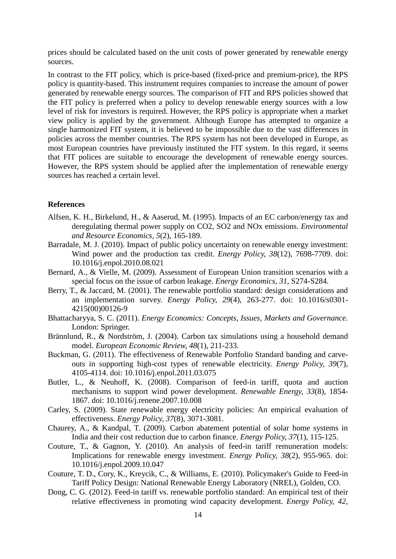prices should be calculated based on the unit costs of power generated by renewable energy sources.

In contrast to the FIT policy, which is price-based (fixed-price and premium-price), the RPS policy is quantity-based. This instrument requires companies to increase the amount of power generated by renewable energy sources. The comparison of FIT and RPS policies showed that the FIT policy is preferred when a policy to develop renewable energy sources with a low level of risk for investors is required. However, the RPS policy is appropriate when a market view policy is applied by the government. Although Europe has attempted to organize a single harmonized FIT system, it is believed to be impossible due to the vast differences in policies across the member countries. The RPS system has not been developed in Europe, as most European countries have previously instituted the FIT system. In this regard, it seems that FIT polices are suitable to encourage the development of renewable energy sources. However, the RPS system should be applied after the implementation of renewable energy sources has reached a certain level.

#### **References**

- Alfsen, K. H., Birkelund, H., & Aaserud, M. (1995). Impacts of an EC carbon/energy tax and deregulating thermal power supply on CO2, SO2 and NOx emissions. *Environmental and Resource Economics, 5*(2), 165-189.
- Barradale, M. J. (2010). Impact of public policy uncertainty on renewable energy investment: Wind power and the production tax credit. *Energy Policy, 38*(12), 7698-7709. doi: 10.1016/j.enpol.2010.08.021
- Bernard, A., & Vielle, M. (2009). Assessment of European Union transition scenarios with a special focus on the issue of carbon leakage. *Energy Economics, 31*, S274-S284.
- Berry, T., & Jaccard, M. (2001). The renewable portfolio standard: design considerations and an implementation survey. *Energy Policy, 29*(4), 263-277. doi: 10.1016/s0301- 4215(00)00126-9
- Bhattacharyya, S. C. (2011). *Energy Economics: Concepts, Issues, Markets and Governance.* London: Springer.
- Brännlund, R., & Nordström, J. (2004). Carbon tax simulations using a household demand model. *European Economic Review, 48*(1), 211-233.
- Buckman, G. (2011). The effectiveness of Renewable Portfolio Standard banding and carveouts in supporting high-cost types of renewable electricity. *Energy Policy, 39*(7), 4105-4114. doi: 10.1016/j.enpol.2011.03.075
- Butler, L., & Neuhoff, K. (2008). Comparison of feed-in tariff, quota and auction mechanisms to support wind power development. *Renewable Energy, 33*(8), 1854- 1867. doi: 10.1016/j.renene.2007.10.008
- Carley, S. (2009). State renewable energy electricity policies: An empirical evaluation of effectiveness. *Energy Policy, 37*(8), 3071-3081.
- Chaurey, A., & Kandpal, T. (2009). Carbon abatement potential of solar home systems in India and their cost reduction due to carbon finance. *Energy Policy, 37*(1), 115-125.
- Couture, T., & Gagnon, Y. (2010). An analysis of feed-in tariff remuneration models: Implications for renewable energy investment. *Energy Policy, 38*(2), 955-965. doi: 10.1016/j.enpol.2009.10.047
- Couture, T. D., Cory, K., Kreycik, C., & Williams, E. (2010). Policymaker's Guide to Feed-in Tariff Policy Design: National Renewable Energy Laboratory (NREL), Golden, CO.
- Dong, C. G. (2012). Feed-in tariff vs. renewable portfolio standard: An empirical test of their relative effectiveness in promoting wind capacity development. *Energy Policy, 42*,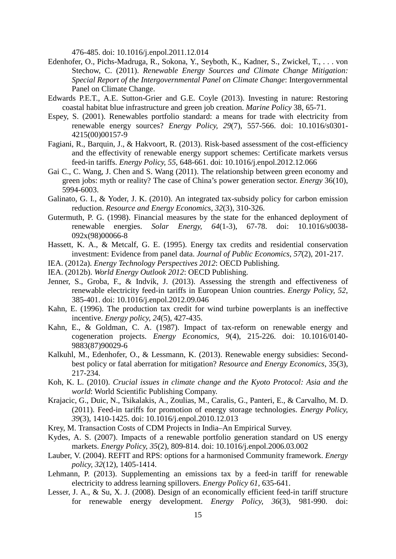476-485. doi: 10.1016/j.enpol.2011.12.014

- Edenhofer, O., Pichs-Madruga, R., Sokona, Y., Seyboth, K., Kadner, S., Zwickel, T., . . . von Stechow, C. (2011). *Renewable Energy Sources and Climate Change Mitigation: Special Report of the Intergovernmental Panel on Climate Change*: Intergovernmental Panel on Climate Change.
- Edwards P.E.T., A.E. Sutton-Grier and G.E. Coyle (2013). Investing in nature: Restoring coastal habitat blue infrastructure and green job creation. *Marine Policy* 38, 65-71.
- Espey, S. (2001). Renewables portfolio standard: a means for trade with electricity from renewable energy sources? *Energy Policy, 29*(7), 557-566. doi: 10.1016/s0301- 4215(00)00157-9
- Fagiani, R., Barquin, J., & Hakvoort, R. (2013). Risk-based assessment of the cost-efficiency and the effectivity of renewable energy support schemes: Certificate markets versus feed-in tariffs. *Energy Policy, 55*, 648-661. doi: 10.1016/j.enpol.2012.12.066
- Gai C., C. Wang, J. Chen and S. Wang (2011). The relationship between green economy and green jobs: myth or reality? The case of China's power generation sector. *Energy* 36(10), 5994-6003.
- Galinato, G. I., & Yoder, J. K. (2010). An integrated tax-subsidy policy for carbon emission reduction. *Resource and Energy Economics, 32*(3), 310-326.
- Gutermuth, P. G. (1998). Financial measures by the state for the enhanced deployment of renewable energies. *Solar Energy, 64*(1-3), 67-78. doi: 10.1016/s0038- 092x(98)00066-8
- Hassett, K. A., & Metcalf, G. E. (1995). Energy tax credits and residential conservation investment: Evidence from panel data. *Journal of Public Economics, 57*(2), 201-217.
- IEA. (2012a). *Energy Technology Perspectives 2012*: OECD Publishing.
- IEA. (2012b). *World Energy Outlook 2012*: OECD Publishing.
- Jenner, S., Groba, F., & Indvik, J. (2013). Assessing the strength and effectiveness of renewable electricity feed-in tariffs in European Union countries. *Energy Policy, 52*, 385-401. doi: 10.1016/j.enpol.2012.09.046
- Kahn, E. (1996). The production tax credit for wind turbine powerplants is an ineffective incentive. *Energy policy, 24*(5), 427-435.
- Kahn, E., & Goldman, C. A. (1987). Impact of tax-reform on renewable energy and cogeneration projects. *Energy Economics, 9*(4), 215-226. doi: 10.1016/0140- 9883(87)90029-6
- Kalkuhl, M., Edenhofer, O., & Lessmann, K. (2013). Renewable energy subsidies: Secondbest policy or fatal aberration for mitigation? *Resource and Energy Economics*, 35(3), 217-234.
- Koh, K. L. (2010). *Crucial issues in climate change and the Kyoto Protocol: Asia and the world*: World Scientific Publishing Company.
- Krajacic, G., Duic, N., Tsikalakis, A., Zoulias, M., Caralis, G., Panteri, E., & Carvalho, M. D. (2011). Feed-in tariffs for promotion of energy storage technologies. *Energy Policy, 39*(3), 1410-1425. doi: 10.1016/j.enpol.2010.12.013
- Krey, M. Transaction Costs of CDM Projects in India–An Empirical Survey.
- Kydes, A. S. (2007). Impacts of a renewable portfolio generation standard on US energy markets. *Energy Policy, 35*(2), 809-814. doi: 10.1016/j.enpol.2006.03.002
- Lauber, V. (2004). REFIT and RPS: options for a harmonised Community framework. *Energy policy, 32*(12), 1405-1414.
- Lehmann, P. (2013). Supplementing an emissions tax by a feed-in tariff for renewable electricity to address learning spillovers. *Energy Policy 61,* 635-641.
- Lesser, J. A., & Su, X. J. (2008). Design of an economically efficient feed-in tariff structure for renewable energy development. *Energy Policy, 36*(3), 981-990. doi: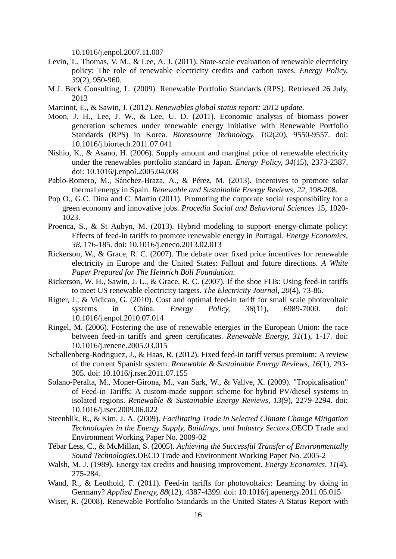10.1016/j.enpol.2007.11.007

- Levin, T., Thomas, V. M., & Lee, A. J. (2011). State-scale evaluation of renewable electricity policy: The role of renewable electricity credits and carbon taxes. *Energy Policy, 39*(2), 950-960.
- M.J. Beck Consulting, L. (2009). Renewable Portfolio Standards (RPS). Retrieved 26 July, 2013
- Martinot, E., & Sawin, J. (2012). *Renewables global status report: 2012 update*.
- Moon, J. H., Lee, J. W., & Lee, U. D. (2011). Economic analysis of biomass power generation schemes under renewable energy initiative with Renewable Portfolio Standards (RPS) in Korea. *Bioresource Technology, 102*(20), 9550-9557. doi: 10.1016/j.biortech.2011.07.041
- Nishio, K., & Asano, H. (2006). Supply amount and marginal price of renewable electricity under the renewables portfolio standard in Japan. *Energy Policy, 34*(15), 2373-2387. doi: 10.1016/j.enpol.2005.04.008
- Pablo-Romero, M., Sánchez-Braza, A., & Pérez, M. (2013). Incentives to promote solar thermal energy in Spain. *Renewable and Sustainable Energy Reviews, 22*, 198-208.
- Pop O., G.C. Dina and C. Martin (2011). Promoting the corporate social responsibility for a green economy and innovative jobs. *Procedia Social and Behavioral Sciences* 15, 1020- 1023.
- Proenca, S., & St Aubyn, M. (2013). Hybrid modeling to support energy-climate policy: Effects of feed-in tariffs to promote renewable energy in Portugal. *Energy Economics, 38*, 176-185. doi: 10.1016/j.eneco.2013.02.013
- Rickerson, W., & Grace, R. C. (2007). The debate over fixed price incentives for renewable electricity in Europe and the United States: Fallout and future directions. *A White Paper Prepared for The Heinrich Böll Foundation*.
- Rickerson, W. H., Sawin, J. L., & Grace, R. C. (2007). If the shoe FITs: Using feed-in tariffs to meet US renewable electricity targets. *The Electricity Journal, 20*(4), 73-86.
- Rigter, J., & Vidican, G. (2010). Cost and optimal feed-in tariff for small scale photovoltaic systems in China. *Energy Policy, 38*(11), 6989-7000. doi: 10.1016/j.enpol.2010.07.014
- Ringel, M. (2006). Fostering the use of renewable energies in the European Union: the race between feed-in tariffs and green certificates. *Renewable Energy, 31*(1), 1-17. doi: 10.1016/j.renene.2005.03.015
- Schallenberg-Rodriguez, J., & Haas, R. (2012). Fixed feed-in tariff versus premium: A review of the current Spanish system. *Renewable & Sustainable Energy Reviews, 16*(1), 293- 305. doi: 10.1016/j.rser.2011.07.155
- Solano-Peralta, M., Moner-Girona, M., van Sark, W., & Vallve, X. (2009). "Tropicalisation" of Feed-in Tariffs: A custom-made support scheme for hybrid PV/diesel systems in isolated regions. *Renewable & Sustainable Energy Reviews, 13*(9), 2279-2294. doi: 10.1016/j.rser.2009.06.022
- Steenblik, R., & Kim, J. A. (2009). *Facilitating Trade in Selected Climate Change Mitigation Technologies in the Energy Supply, Buildings, and Industry Sectors*.OECD Trade and Environment Working Paper No. 2009-02
- Tébar Less, C., & McMillan, S. (2005). *Achieving the Successful Transfer of Environmentally Sound Technologies*.OECD Trade and Environment Working Paper No. 2005-2
- Walsh, M. J. (1989). Energy tax credits and housing improvement. *Energy Economics, 11*(4), 275-284.
- Wand, R., & Leuthold, F. (2011). Feed-in tariffs for photovoltaics: Learning by doing in Germany? *Applied Energy, 88*(12), 4387-4399. doi: 10.1016/j.apenergy.2011.05.015
- Wiser, R. (2008). Renewable Portfolio Standards in the United States-A Status Report with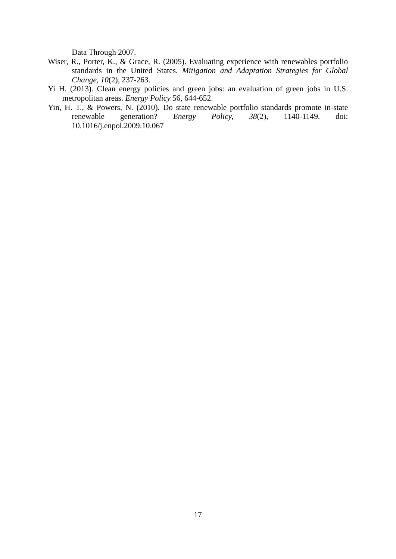Data Through 2007.

- Wiser, R., Porter, K., & Grace, R. (2005). Evaluating experience with renewables portfolio standards in the United States. *Mitigation and Adaptation Strategies for Global Change, 10*(2), 237-263.
- Yi H. (2013). Clean energy policies and green jobs: an evaluation of green jobs in U.S. metropolitan areas. *Energy Policy* 56, 644-652.
- Yin, H. T., & Powers, N. (2010). Do state renewable portfolio standards promote in-state renewable generation? *Energy Policy, 38*(2), 1140-1149. doi: 10.1016/j.enpol.2009.10.067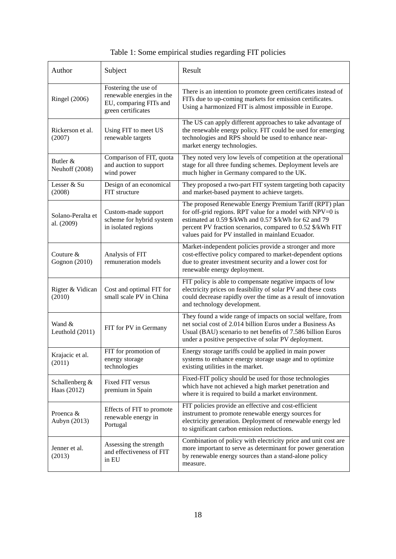| Table 1: Some empirical studies regarding FIT policies |  |  |  |
|--------------------------------------------------------|--|--|--|
|                                                        |  |  |  |

| Author                          | Subject                                                                                           | Result                                                                                                                                                                                                                                                                                              |
|---------------------------------|---------------------------------------------------------------------------------------------------|-----------------------------------------------------------------------------------------------------------------------------------------------------------------------------------------------------------------------------------------------------------------------------------------------------|
| <b>Ringel</b> (2006)            | Fostering the use of<br>renewable energies in the<br>EU, comparing FITs and<br>green certificates | There is an intention to promote green certificates instead of<br>FITs due to up-coming markets for emission certificates.<br>Using a harmonized FIT is almost impossible in Europe.                                                                                                                |
| Rickerson et al.<br>(2007)      | Using FIT to meet US<br>renewable targets                                                         | The US can apply different approaches to take advantage of<br>the renewable energy policy. FIT could be used for emerging<br>technologies and RPS should be used to enhance near-<br>market energy technologies.                                                                                    |
| Butler &<br>Neuhoff (2008)      | Comparison of FIT, quota<br>and auction to support<br>wind power                                  | They noted very low levels of competition at the operational<br>stage for all three funding schemes. Deployment levels are<br>much higher in Germany compared to the UK.                                                                                                                            |
| Lesser & Su<br>(2008)           | Design of an economical<br>FIT structure                                                          | They proposed a two-part FIT system targeting both capacity<br>and market-based payment to achieve targets.                                                                                                                                                                                         |
| Solano-Peralta et<br>al. (2009) | Custom-made support<br>scheme for hybrid system<br>in isolated regions                            | The proposed Renewable Energy Premium Tariff (RPT) plan<br>for off-grid regions. RPT value for a model with $NPV=0$ is<br>estimated at 0.59 \$/kWh and 0.57 \$/kWh for 62 and 79<br>percent PV fraction scenarios, compared to 0.52 \$/kWh FIT<br>values paid for PV installed in mainland Ecuador. |
| Couture $&$<br>Gognon (2010)    | Analysis of FIT<br>remuneration models                                                            | Market-independent policies provide a stronger and more<br>cost-effective policy compared to market-dependent options<br>due to greater investment security and a lower cost for<br>renewable energy deployment.                                                                                    |
| Rigter & Vidican<br>(2010)      | Cost and optimal FIT for<br>small scale PV in China                                               | FIT policy is able to compensate negative impacts of low<br>electricity prices on feasibility of solar PV and these costs<br>could decrease rapidly over the time as a result of innovation<br>and technology development.                                                                          |
| Wand &<br>Leuthold (2011)       | FIT for PV in Germany                                                                             | They found a wide range of impacts on social welfare, from<br>net social cost of 2.014 billion Euros under a Business As<br>Usual (BAU) scenario to net benefits of 7.586 billion Euros<br>under a positive perspective of solar PV deployment.                                                     |
| Krajacic et al.<br>(2011)       | FIT for promotion of<br>energy storage<br>technologies                                            | Energy storage tariffs could be applied in main power<br>systems to enhance energy storage usage and to optimize<br>existing utilities in the market.                                                                                                                                               |
| Schallenberg &<br>Haas (2012)   | Fixed FIT versus<br>premium in Spain                                                              | Fixed-FIT policy should be used for those technologies<br>which have not achieved a high market penetration and<br>where it is required to build a market environment.                                                                                                                              |
| Proenca &<br>Aubyn (2013)       | Effects of FIT to promote<br>renewable energy in<br>Portugal                                      | FIT policies provide an effective and cost-efficient<br>instrument to promote renewable energy sources for<br>electricity generation. Deployment of renewable energy led<br>to significant carbon emission reductions.                                                                              |
| Jenner et al.<br>(2013)         | Assessing the strength<br>and effectiveness of FIT<br>in EU                                       | Combination of policy with electricity price and unit cost are<br>more important to serve as determinant for power generation<br>by renewable energy sources than a stand-alone policy<br>measure.                                                                                                  |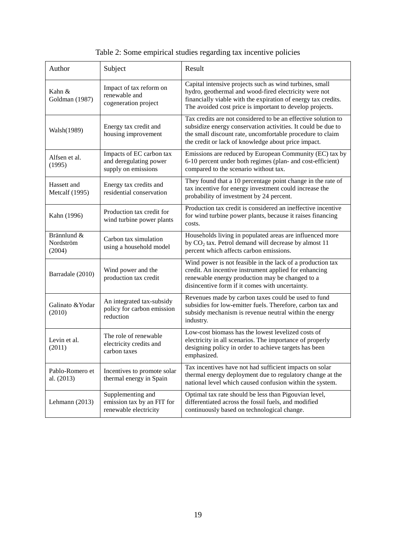# Table 2: Some empirical studies regarding tax incentive policies

| Author                             | Subject                                                                   | Result                                                                                                                                                                                                                                            |
|------------------------------------|---------------------------------------------------------------------------|---------------------------------------------------------------------------------------------------------------------------------------------------------------------------------------------------------------------------------------------------|
| Kahn &<br>Goldman (1987)           | Impact of tax reform on<br>renewable and<br>cogeneration project          | Capital intensive projects such as wind turbines, small<br>hydro, geothermal and wood-fired electricity were not<br>financially viable with the expiration of energy tax credits.<br>The avoided cost price is important to develop projects.     |
| Walsh(1989)                        | Energy tax credit and<br>housing improvement                              | Tax credits are not considered to be an effective solution to<br>subsidize energy conservation activities. It could be due to<br>the small discount rate, uncomfortable procedure to claim<br>the credit or lack of knowledge about price impact. |
| Alfsen et al.<br>(1995)            | Impacts of EC carbon tax<br>and deregulating power<br>supply on emissions | Emissions are reduced by European Community (EC) tax by<br>6-10 percent under both regimes (plan- and cost-efficient)<br>compared to the scenario without tax.                                                                                    |
| Hassett and<br>Metcalf (1995)      | Energy tax credits and<br>residential conservation                        | They found that a 10 percentage point change in the rate of<br>tax incentive for energy investment could increase the<br>probability of investment by 24 percent.                                                                                 |
| Kahn (1996)                        | Production tax credit for<br>wind turbine power plants                    | Production tax credit is considered an ineffective incentive<br>for wind turbine power plants, because it raises financing<br>costs.                                                                                                              |
| Brännlund &<br>Nordström<br>(2004) | Carbon tax simulation<br>using a household model                          | Households living in populated areas are influenced more<br>by $CO2$ tax. Petrol demand will decrease by almost 11<br>percent which affects carbon emissions.                                                                                     |
| Barradale (2010)                   | Wind power and the<br>production tax credit                               | Wind power is not feasible in the lack of a production tax<br>credit. An incentive instrument applied for enhancing<br>renewable energy production may be changed to a<br>disincentive form if it comes with uncertainty.                         |
| Galinato & Yodar<br>(2010)         | An integrated tax-subsidy<br>policy for carbon emission<br>reduction      | Revenues made by carbon taxes could be used to fund<br>subsidies for low-emitter fuels. Therefore, carbon tax and<br>subsidy mechanism is revenue neutral within the energy<br>industry.                                                          |
| Levin et al.<br>(2011)             | The role of renewable<br>electricity credits and<br>carbon taxes          | Low-cost biomass has the lowest levelized costs of<br>electricity in all scenarios. The importance of properly<br>designing policy in order to achieve targets has been<br>emphasized.                                                            |
| Pablo-Romero et<br>al. (2013)      | Incentives to promote solar<br>thermal energy in Spain                    | Tax incentives have not had sufficient impacts on solar<br>thermal energy deployment due to regulatory change at the<br>national level which caused confusion within the system.                                                                  |
| Lehmann (2013)                     | Supplementing and<br>emission tax by an FIT for<br>renewable electricity  | Optimal tax rate should be less than Pigouvian level,<br>differentiated across the fossil fuels, and modified<br>continuously based on technological change.                                                                                      |